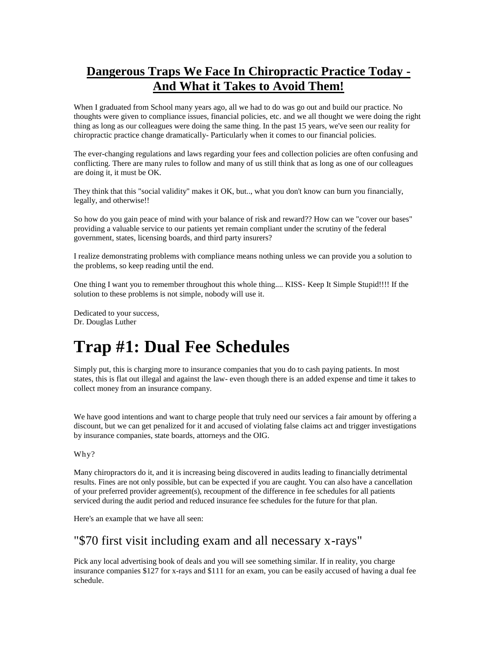### **Dangerous Traps We Face In Chiropractic Practice Today - And What it Takes to Avoid Them!**

When I graduated from School many years ago, all we had to do was go out and build our practice. No thoughts were given to compliance issues, financial policies, etc. and we all thought we were doing the right thing as long as our colleagues were doing the same thing. In the past 15 years, we've seen our reality for chiropractic practice change dramatically- Particularly when it comes to our financial policies.

The ever-changing regulations and laws regarding your fees and collection policies are often confusing and conflicting. There are many rules to follow and many of us still think that as long as one of our colleagues are doing it, it must be OK.

They think that this "social validity" makes it OK, but.., what you don't know can burn you financially, legally, and otherwise!!

So how do you gain peace of mind with your balance of risk and reward?? How can we "cover our bases" providing a valuable service to our patients yet remain compliant under the scrutiny of the federal government, states, licensing boards, and third party insurers?

I realize demonstrating problems with compliance means nothing unless we can provide you a solution to the problems, so keep reading until the end.

One thing I want you to remember throughout this whole thing.... KISS- Keep It Simple Stupid!!!! If the solution to these problems is not simple, nobody will use it.

Dedicated to your success, Dr. Douglas Luther

## **Trap #1: Dual Fee Schedules**

Simply put, this is charging more to insurance companies that you do to cash paying patients. In most states, this is flat out illegal and against the law- even though there is an added expense and time it takes to collect money from an insurance company.

We have good intentions and want to charge people that truly need our services a fair amount by offering a discount, but we can get penalized for it and accused of violating false claims act and trigger investigations by insurance companies, state boards, attorneys and the OIG.

#### Why?

Many chiropractors do it, and it is increasing being discovered in audits leading to financially detrimental results. Fines are not only possible, but can be expected if you are caught. You can also have a cancellation of your preferred provider agreement(s), recoupment of the difference in fee schedules for all patients serviced during the audit period and reduced insurance fee schedules for the future for that plan.

Here's an example that we have all seen:

#### "\$70 first visit including exam and all necessary x-rays"

Pick any local advertising book of deals and you will see something similar. If in reality, you charge insurance companies \$127 for x-rays and \$111 for an exam, you can be easily accused of having a dual fee schedule.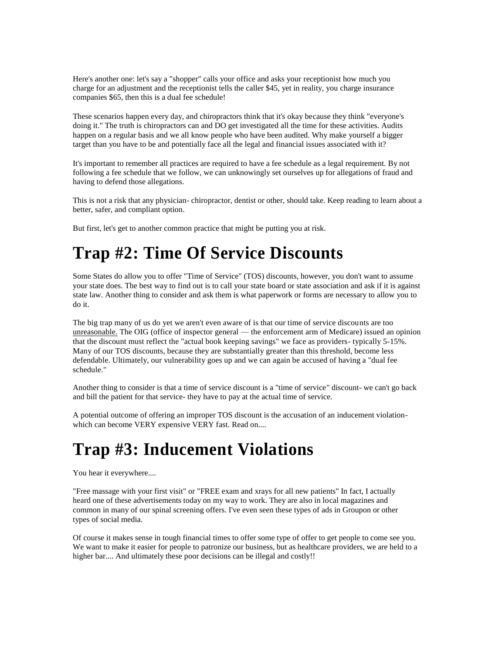Here's another one: let's say a "shopper" calls your office and asks your receptionist how much you charge for an adjustment and the receptionist tells the caller \$45, yet in reality, you charge insurance companies \$65, then this is a dual fee schedule!

These scenarios happen every day, and chiropractors think that it's okay because they think "everyone's doing it." The truth is chiropractors can and DO get investigated all the time for these activities. Audits happen on a regular basis and we all know people who have been audited. Why make yourself a bigger target than you have to be and potentially face all the legal and financial issues associated with it?

It's important to remember all practices are required to have a fee schedule as a legal requirement. By not following a fee schedule that we follow, we can unknowingly set ourselves up for allegations of fraud and having to defend those allegations.

This is not a risk that any physician- chiropractor, dentist or other, should take. Keep reading to learn about a better, safer, and compliant option.

But first, let's get to another common practice that might be putting you at risk.

# **Trap #2: Time Of Service Discounts**

Some States do allow you to offer "Time of Service" (TOS) discounts, however, you don't want to assume your state does. The best way to find out is to call your state board or state association and ask if it is against state law. Another thing to consider and ask them is what paperwork or forms are necessary to allow you to do it.

The big trap many of us do yet we aren't even aware of is that our time of service discounts are too unreasonable. The OIG (office of inspector general — the enforcement arm of Medicare) issued an opinion that the discount must reflect the "actual book keeping savings" we face as providers- typically 5-15%. Many of our TOS discounts, because they are substantially greater than this threshold, become less defendable. Ultimately, our vulnerability goes up and we can again be accused of having a "dual fee schedule."

Another thing to consider is that a time of service discount is a "time of service" discount- we can't go back and bill the patient for that service- they have to pay at the actual time of service.

A potential outcome of offering an improper TOS discount is the accusation of an inducement violationwhich can become VERY expensive VERY fast. Read on....

# **Trap #3: Inducement Violations**

You hear it everywhere....

"Free massage with your first visit" or "FREE exam and xrays for all new patients" In fact, I actually heard one of these advertisements today on my way to work. They are also in local magazines and common in many of our spinal screening offers. I've even seen these types of ads in Groupon or other types of social media.

Of course it makes sense in tough financial times to offer some type of offer to get people to come see you. We want to make it easier for people to patronize our business, but as healthcare providers, we are held to a higher bar.... And ultimately these poor decisions can be illegal and costly!!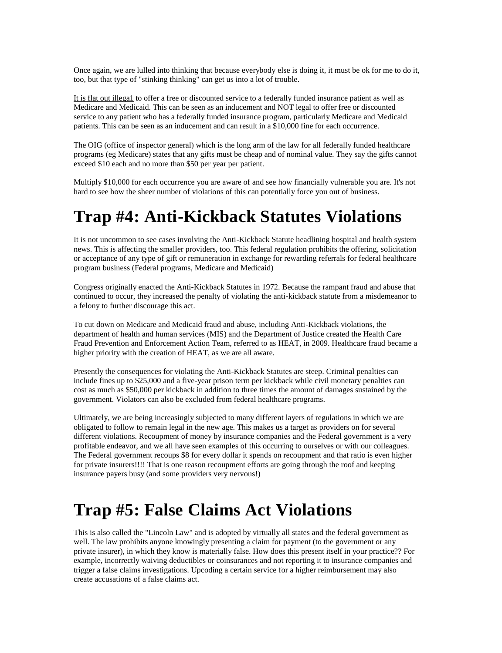Once again, we are lulled into thinking that because everybody else is doing it, it must be ok for me to do it, too, but that type of "stinking thinking" can get us into a lot of trouble.

It is flat out illega1 to offer a free or discounted service to a federally funded insurance patient as well as Medicare and Medicaid. This can be seen as an inducement and NOT legal to offer free or discounted service to any patient who has a federally funded insurance program, particularly Medicare and Medicaid patients. This can be seen as an inducement and can result in a \$10,000 fine for each occurrence.

The OIG (office of inspector general) which is the long arm of the law for all federally funded healthcare programs (eg Medicare) states that any gifts must be cheap and of nominal value. They say the gifts cannot exceed \$10 each and no more than \$50 per year per patient.

Multiply \$10,000 for each occurrence you are aware of and see how financially vulnerable you are. It's not hard to see how the sheer number of violations of this can potentially force you out of business.

## **Trap #4: Anti-Kickback Statutes Violations**

It is not uncommon to see cases involving the Anti-Kickback Statute headlining hospital and health system news. This is affecting the smaller providers, too. This federal regulation prohibits the offering, solicitation or acceptance of any type of gift or remuneration in exchange for rewarding referrals for federal healthcare program business (Federal programs, Medicare and Medicaid)

Congress originally enacted the Anti-Kickback Statutes in 1972. Because the rampant fraud and abuse that continued to occur, they increased the penalty of violating the anti-kickback statute from a misdemeanor to a felony to further discourage this act.

To cut down on Medicare and Medicaid fraud and abuse, including Anti-Kickback violations, the department of health and human services (MIS) and the Department of Justice created the Health Care Fraud Prevention and Enforcement Action Team, referred to as HEAT, in 2009. Healthcare fraud became a higher priority with the creation of HEAT, as we are all aware.

Presently the consequences for violating the Anti-Kickback Statutes are steep. Criminal penalties can include fines up to \$25,000 and a five-year prison term per kickback while civil monetary penalties can cost as much as \$50,000 per kickback in addition to three times the amount of damages sustained by the government. Violators can also be excluded from federal healthcare programs.

Ultimately, we are being increasingly subjected to many different layers of regulations in which we are obligated to follow to remain legal in the new age. This makes us a target as providers on for several different violations. Recoupment of money by insurance companies and the Federal government is a very profitable endeavor, and we all have seen examples of this occurring to ourselves or with our colleagues. The Federal government recoups \$8 for every dollar it spends on recoupment and that ratio is even higher for private insurers!!!! That is one reason recoupment efforts are going through the roof and keeping insurance payers busy (and some providers very nervous!)

## **Trap #5: False Claims Act Violations**

This is also called the "Lincoln Law" and is adopted by virtually all states and the federal government as well. The law prohibits anyone knowingly presenting a claim for payment (to the government or any private insurer), in which they know is materially false. How does this present itself in your practice?? For example, incorrectly waiving deductibles or coinsurances and not reporting it to insurance companies and trigger a false claims investigations. Upcoding a certain service for a higher reimbursement may also create accusations of a false claims act.